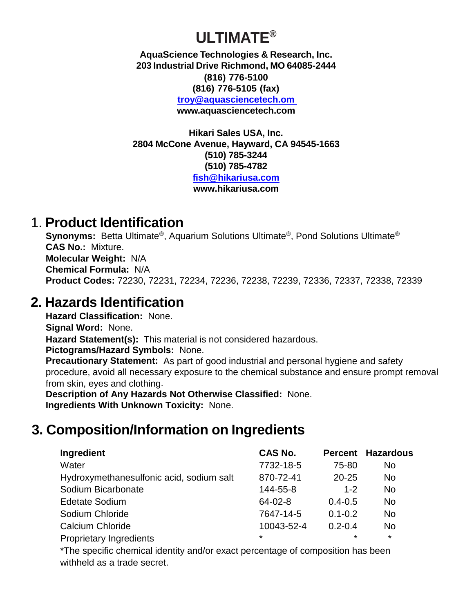# **ULTIMATE®**

**AquaScience Technologies & Research, Inc. 203 Industrial Drive Richmond, MO 64085-2444 (816) 776-5100 (816) 776-5105 (fax) [troy@aquasciencetech.om](mailto:troy@aquasciencetech.om)  [www.aquasciencetech.com](http://www.aquasciencetech.com/)**

**Hikari Sales USA, Inc. 2804 McCone Avenue, Hayward, CA 94545-1663 (510) 785-3244 (510) 785-4782 [fish@hikariusa.com](mailto:fish@hikariusa.com) www.hikariusa.com**

### 1. **Product Identification**

**Synonyms:** Betta Ultimate®, Aquarium Solutions Ultimate®, Pond Solutions Ultimate® **CAS No.:** Mixture. **Molecular Weight:** N/A **Chemical Formula:** N/A **Product Codes:** 72230, 72231, 72234, 72236, 72238, 72239, 72336, 72337, 72338, 72339

### **2. Hazards Identification**

**Hazard Classification:** None. **Signal Word:** None. **Hazard Statement(s):** This material is not considered hazardous. **Pictograms/Hazard Symbols:** None. **Precautionary Statement:** As part of good industrial and personal hygiene and safety procedure, avoid all necessary exposure to the chemical substance and ensure prompt removal from skin, eyes and clothing.

**Description of Any Hazards Not Otherwise Classified:** None. **Ingredients With Unknown Toxicity:** None.

# **3. Composition/Information on Ingredients**

| Ingredient                               | <b>CAS No.</b> |             | <b>Percent Hazardous</b> |
|------------------------------------------|----------------|-------------|--------------------------|
| Water                                    | 7732-18-5      | 75-80       | No                       |
| Hydroxymethanesulfonic acid, sodium salt | 870-72-41      | $20 - 25$   | <b>No</b>                |
| Sodium Bicarbonate                       | 144-55-8       | $1 - 2$     | <b>No</b>                |
| <b>Edetate Sodium</b>                    | 64-02-8        | $0.4 - 0.5$ | No                       |
| Sodium Chloride                          | 7647-14-5      | $0.1 - 0.2$ | No                       |
| <b>Calcium Chloride</b>                  | 10043-52-4     | $0.2 - 0.4$ | <b>No</b>                |
| <b>Proprietary Ingredients</b>           | $\star$        | $\star$     | $\star$                  |

\*The specific chemical identity and/or exact percentage of composition has been withheld as a trade secret.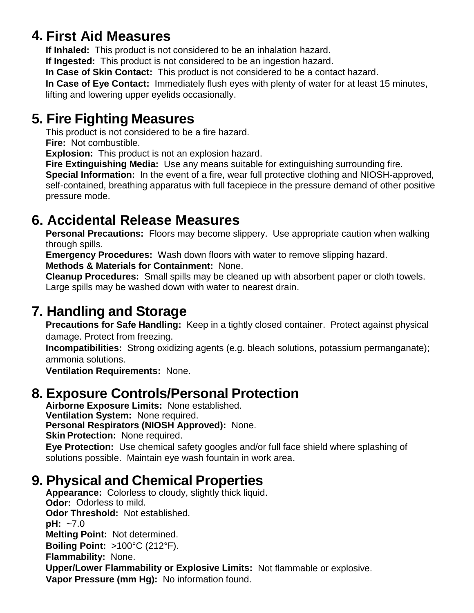## **4. First Aid Measures**

**If Inhaled:** This product is not considered to be an inhalation hazard.

**If Ingested:** This product is not considered to be an ingestion hazard.

**In Case of Skin Contact:** This product is not considered to be a contact hazard.

**In Case of Eye Contact:** Immediately flush eyes with plenty of water for at least 15 minutes, lifting and lowering upper eyelids occasionally.

### **5. Fire Fighting Measures**

This product is not considered to be a fire hazard.

**Fire:** Not combustible.

**Explosion:** This product is not an explosion hazard.

**Fire Extinguishing Media:** Use any means suitable for extinguishing surrounding fire.

**Special Information:** In the event of a fire, wear full protective clothing and NIOSH-approved, self-contained, breathing apparatus with full facepiece in the pressure demand of other positive pressure mode.

## **6. Accidental Release Measures**

**Personal Precautions:** Floors may become slippery. Use appropriate caution when walking through spills.

**Emergency Procedures:** Wash down floors with water to remove slipping hazard. **Methods & Materials for Containment:** None.

**Cleanup Procedures:** Small spills may be cleaned up with absorbent paper or cloth towels. Large spills may be washed down with water to nearest drain.

## **7. Handling and Storage**

**Precautions for Safe Handling:** Keep in a tightly closed container. Protect against physical damage. Protect from freezing.

**Incompatibilities:** Strong oxidizing agents (e.g. bleach solutions, potassium permanganate); ammonia solutions.

**Ventilation Requirements:** None.

## **8. Exposure Controls/Personal Protection**

**Airborne Exposure Limits:** None established. **Ventilation System:** None required. **Personal Respirators (NIOSH Approved):** None. **Skin Protection:** None required. **Eye Protection:** Use chemical safety googles and/or full face shield where splashing of solutions possible. Maintain eye wash fountain in work area.

## **9. Physical and Chemical Properties**

**Appearance:** Colorless to cloudy, slightly thick liquid. **Odor:** Odorless to mild. **Odor Threshold:** Not established. **pH:** ~7.0 **Melting Point:** Not determined. **Boiling Point:** >100°C (212°F). **Flammability:** None. **Upper/Lower Flammability or Explosive Limits:** Not flammable or explosive. **Vapor Pressure (mm Hg):** No information found.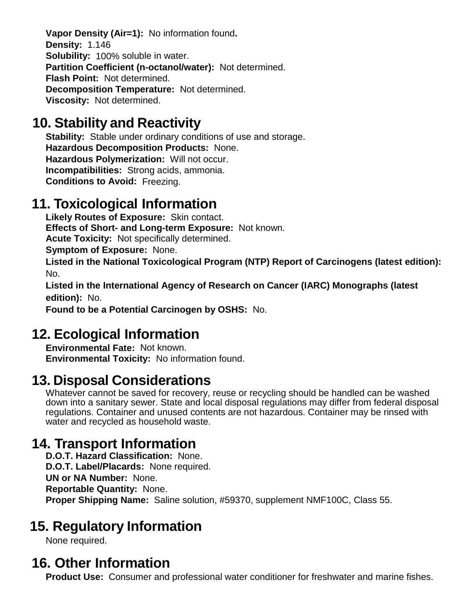**Vapor Density (Air=1):** No information found**. Density:** 1.146 **Solubility:** 100% soluble in water. **Partition Coefficient (n-octanol/water):** Not determined. **Flash Point:** Not determined. **Decomposition Temperature:** Not determined. **Viscosity:** Not determined.

## **10. Stability and Reactivity**

**Stability:** Stable under ordinary conditions of use and storage. **Hazardous Decomposition Products:** None. **Hazardous Polymerization:** Will not occur. **Incompatibilities:** Strong acids, ammonia. **Conditions to Avoid:** Freezing.

#### **11. Toxicological Information**

**Likely Routes of Exposure:** Skin contact. **Effects of Short- and Long-term Exposure:** Not known. **Acute Toxicity:** Not specifically determined. **Symptom of Exposure:** None.

**Listed in the National Toxicological Program (NTP) Report of Carcinogens (latest edition):** No.

**Listed in the International Agency of Research on Cancer (IARC) Monographs (latest edition):** No.

**Found to be a Potential Carcinogen by OSHS:** No.

### **12. Ecological Information**

**Environmental Fate:** Not known. **Environmental Toxicity:** No information found.

### **13. Disposal Considerations**

Whatever cannot be saved for recovery, reuse or recycling should be handled can be washed down into a sanitary sewer. State and local disposal regulations may differ from federal disposal regulations. Container and unused contents are not hazardous. Container may be rinsed with water and recycled as household waste.

### **14. Transport Information**

**D.O.T. Hazard Classification:** None. **D.O.T. Label/Placards:** None required. **UN or NA Number:** None. **Reportable Quantity:** None. **Proper Shipping Name:** Saline solution, #59370, supplement NMF100C, Class 55.

## **15. Regulatory Information**

None required.

### **16. Other Information**

**Product Use:** Consumer and professional water conditioner for freshwater and marine fishes.